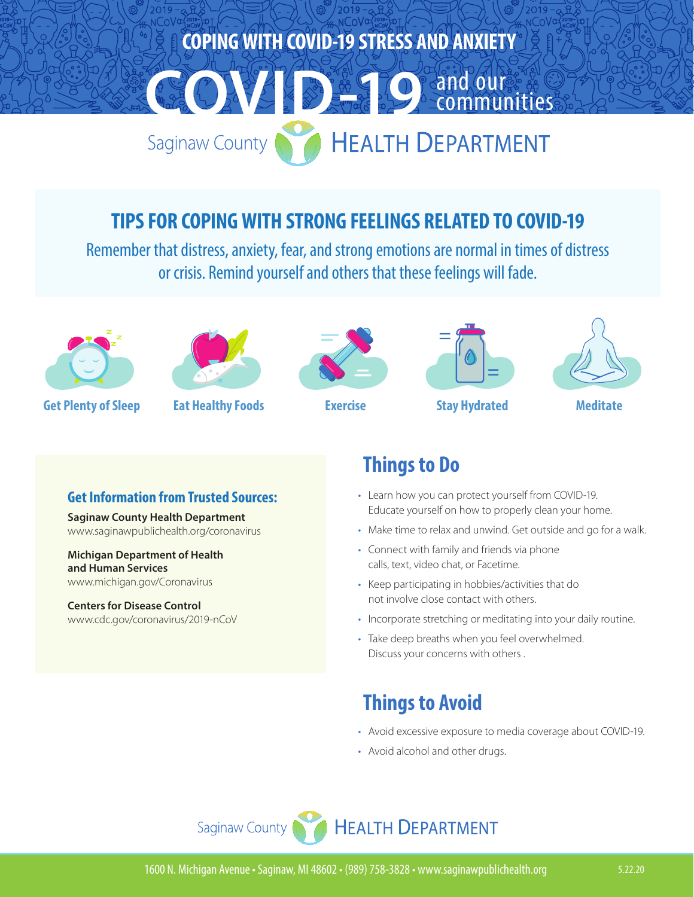

#### **TIPS FOR COPING WITH STRONG FEELINGS RELATED TO COVID-19**

Remember that distress, anxiety, fear, and strong emotions are normal in times of distress or crisis. Remind yourself and others that these feelings will fade.





**Get Plenty of Sleep Eat Healthy Foods Exercise Stay Hydrated Meditate**







#### **Get Information from Trusted Sources:**

**Saginaw County Health Department** www.saginawpublichealth.org/coronavirus

**Michigan Department of Health and Human Services**  [www.michigan.gov/Coronavirus](http://www.michigan.gov/Coronavirus)

**Centers for Disease Control** [www.cdc.gov/coronavirus/2019-nCoV](http://www.cdc.gov/coronavirus/2019-nCoV/)

#### **Things to Do**

- Learn how you can protect yourself from COVID-19. Educate yourself on how to properly clean your home.
- Make time to relax and unwind. Get outside and go for a walk.
- Connect with family and friends via phone calls, text, video chat, or Facetime.
- Keep participating in hobbies/activities that do not involve close contact with others.
- Incorporate stretching or meditating into your daily routine.
- Take deep breaths when you feel overwhelmed. Discuss your concerns with others .

## **Things to Avoid**

- Avoid excessive exposure to media coverage about COVID-19.
- Avoid alcohol and other drugs.